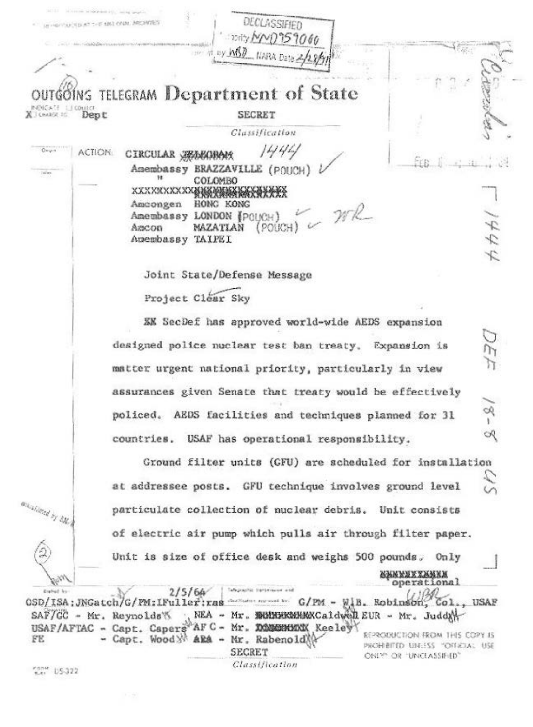DECLASSIFIED University of the Children, MICHAES 勰 110211-00 TELEGRAM Department of State **MANGATE SECRET** X CHARGE 16 Dept Classification  $1444$ Orran **ACTION:** CIRCULAR SEASOBOR Amembassy BRAZZAVILLE (POUCH)  $78$ COLOMBO HONG KONG Amcongen  $WR$ Amembassy LONDON (POUCH) りわわり MAZATIAN (POUCH) Amcon Amembassy TAIPEI Joint State/Defense Message Project Clear Sky EX SecDef has approved world-wide AEDS expansion designed police nuclear test ban treaty. Expansion is matter urgent national priority, particularly in view assurances given Senate that treaty would be effectively có. policed. AEDS facilities and techniques planned for 31 R countries. USAF has operational responsibility. Ground filter units (GFU) are scheduled for installation at addressee posts. GFU technique involves ground level markingd by AM particulate collection of nuclear debris. Unit consists of electric air pump which pulls air through filter paper. Unit is size of office desk and weighs 500 pounds. Only **SHAYAXXXMAXA**<br>Operational Telepophic transmission and  $2/5/64$ OSD/ISA; JNGatch/G/PM: IFuller: ras defeate agreed to G/PM - WiB. Robinson USAF Col SAF/GC - Mr. Reynolds USAF/AFTAC - Capt. Capers AF C - Mr. DOMESTION Keeley REPRODUCTION FROM THIS COPY IS - Capt. Wood \*\* ARA - Mr. Rabenold FE PROHEITED UNLESS "OFFICIAL USE **SECRET** ONLY" OR "UNCLASSIFIED" Classification Font US-322